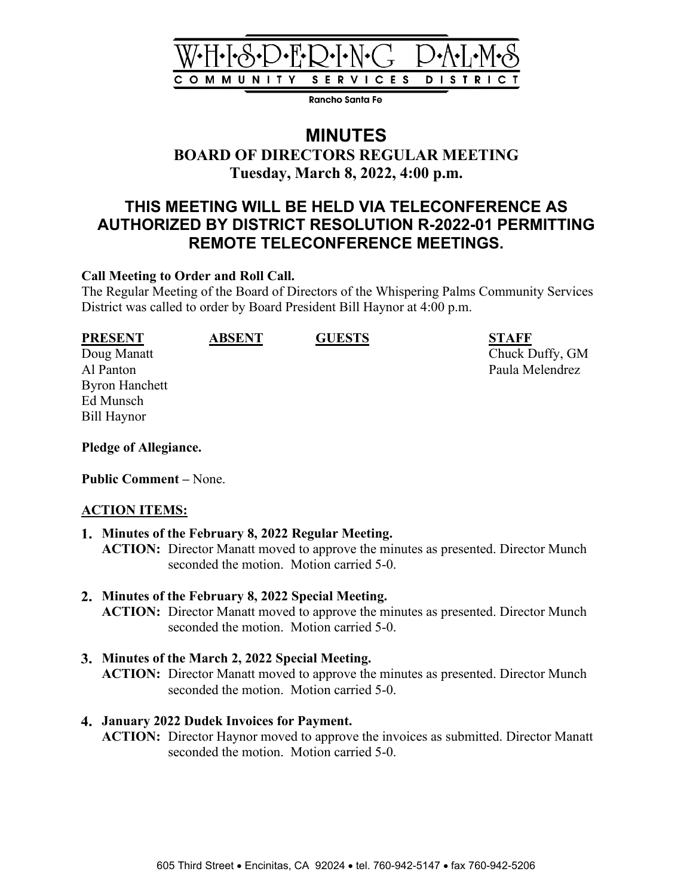

Rancho Santa Fe

# **MINUTES**

# **BOARD OF DIRECTORS REGULAR MEETING Tuesday, March 8, 2022, 4:00 p.m.**

# **THIS MEETING WILL BE HELD VIA TELECONFERENCE AS AUTHORIZED BY DISTRICT RESOLUTION R-2022-01 PERMITTING REMOTE TELECONFERENCE MEETINGS.**

#### **Call Meeting to Order and Roll Call.**

The Regular Meeting of the Board of Directors of the Whispering Palms Community Services District was called to order by Board President Bill Haynor at 4:00 p.m.

Byron Hanchett Ed Munsch Bill Haynor

**PRESENT ABSENT GUESTS STAFF**

Doug Manatt Chuck Duffy, GM Al Panton Paula Melendrez

**Pledge of Allegiance.**

**Public Comment –** None.

### **ACTION ITEMS:**

### **Minutes of the February 8, 2022 Regular Meeting. ACTION:** Director Manatt moved to approve the minutes as presented. Director Munch seconded the motion. Motion carried 5-0.

**Minutes of the February 8, 2022 Special Meeting.**

**ACTION:** Director Manatt moved to approve the minutes as presented. Director Munch seconded the motion. Motion carried 5-0.

### **Minutes of the March 2, 2022 Special Meeting.**

**ACTION:** Director Manatt moved to approve the minutes as presented. Director Munch seconded the motion. Motion carried 5-0.

### **January 2022 Dudek Invoices for Payment.**

**ACTION:** Director Haynor moved to approve the invoices as submitted. Director Manatt seconded the motion. Motion carried 5-0.